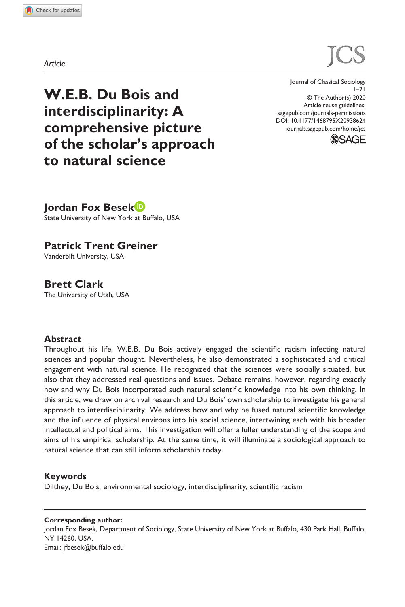**9386[24](http://crossmark.crossref.org/dialog/?doi=10.1177%2F1468795X20938624&domain=pdf&date_stamp=2020-07-08)**JCS0010.1177/1468795X20938624Journal of Classical Sociology**Besek et al.**

**W.E.B. Du Bois and interdisciplinarity: A comprehensive picture of the scholar's approach to natural science**

https://doi.org/10.1177/1468795X20938624 DOI: 10.1177/1468795X20938624 Journal of Classical Sociology  $1 - 21$ © The Author(s) 2020 Article reuse guidelines: [sagepub.com/journals-permissions](https://uk.sagepub.com/en-gb/journals-permissions) [journals.sagepub.com/home/jcs](https://journals.sagepub.com/home/jcs)



**Jordan Fox Besek**

State University of New York at Buffalo, USA

**Patrick Trent Greiner**

Vanderbilt University, USA

**Brett Clark**

The University of Utah, USA

#### **Abstract**

Throughout his life, W.E.B. Du Bois actively engaged the scientific racism infecting natural sciences and popular thought. Nevertheless, he also demonstrated a sophisticated and critical engagement with natural science. He recognized that the sciences were socially situated, but also that they addressed real questions and issues. Debate remains, however, regarding exactly how and why Du Bois incorporated such natural scientific knowledge into his own thinking. In this article, we draw on archival research and Du Bois' own scholarship to investigate his general approach to interdisciplinarity. We address how and why he fused natural scientific knowledge and the influence of physical environs into his social science, intertwining each with his broader intellectual and political aims. This investigation will offer a fuller understanding of the scope and aims of his empirical scholarship. At the same time, it will illuminate a sociological approach to natural science that can still inform scholarship today.

#### **Keywords**

Dilthey, Du Bois, environmental sociology, interdisciplinarity, scientific racism

**Corresponding author:** Jordan Fox Besek, Department of Sociology, State University of New York at Buffalo, 430 Park Hall, Buffalo, NY 14260, USA. Email: [jfbesek@buffalo.edu](mailto:jfbesek@buffalo.edu)

*Article*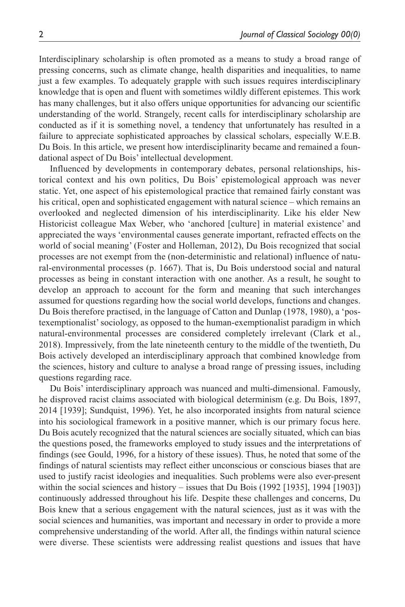Interdisciplinary scholarship is often promoted as a means to study a broad range of pressing concerns, such as climate change, health disparities and inequalities, to name just a few examples. To adequately grapple with such issues requires interdisciplinary knowledge that is open and fluent with sometimes wildly different epistemes. This work has many challenges, but it also offers unique opportunities for advancing our scientific understanding of the world. Strangely, recent calls for interdisciplinary scholarship are conducted as if it is something novel, a tendency that unfortunately has resulted in a failure to appreciate sophisticated approaches by classical scholars, especially W.E.B. Du Bois. In this article, we present how interdisciplinarity became and remained a foundational aspect of Du Bois' intellectual development.

Influenced by developments in contemporary debates, personal relationships, historical context and his own politics, Du Bois' epistemological approach was never static. Yet, one aspect of his epistemological practice that remained fairly constant was his critical, open and sophisticated engagement with natural science – which remains an overlooked and neglected dimension of his interdisciplinarity. Like his elder New Historicist colleague Max Weber, who 'anchored [culture] in material existence' and appreciated the ways 'environmental causes generate important, refracted effects on the world of social meaning' (Foster and Holleman, 2012), Du Bois recognized that social processes are not exempt from the (non-deterministic and relational) influence of natural-environmental processes (p. 1667). That is, Du Bois understood social and natural processes as being in constant interaction with one another. As a result, he sought to develop an approach to account for the form and meaning that such interchanges assumed for questions regarding how the social world develops, functions and changes. Du Bois therefore practised, in the language of Catton and Dunlap (1978, 1980), a 'postexemptionalist' sociology, as opposed to the human-exemptionalist paradigm in which natural-environmental processes are considered completely irrelevant (Clark et al., 2018). Impressively, from the late nineteenth century to the middle of the twentieth, Du Bois actively developed an interdisciplinary approach that combined knowledge from the sciences, history and culture to analyse a broad range of pressing issues, including questions regarding race.

Du Bois' interdisciplinary approach was nuanced and multi-dimensional. Famously, he disproved racist claims associated with biological determinism (e.g. Du Bois, 1897, 2014 [1939]; Sundquist, 1996). Yet, he also incorporated insights from natural science into his sociological framework in a positive manner, which is our primary focus here. Du Bois acutely recognized that the natural sciences are socially situated, which can bias the questions posed, the frameworks employed to study issues and the interpretations of findings (see Gould, 1996, for a history of these issues). Thus, he noted that some of the findings of natural scientists may reflect either unconscious or conscious biases that are used to justify racist ideologies and inequalities. Such problems were also ever-present within the social sciences and history – issues that Du Bois (1992 [1935], 1994 [1903]) continuously addressed throughout his life. Despite these challenges and concerns, Du Bois knew that a serious engagement with the natural sciences, just as it was with the social sciences and humanities, was important and necessary in order to provide a more comprehensive understanding of the world. After all, the findings within natural science were diverse. These scientists were addressing realist questions and issues that have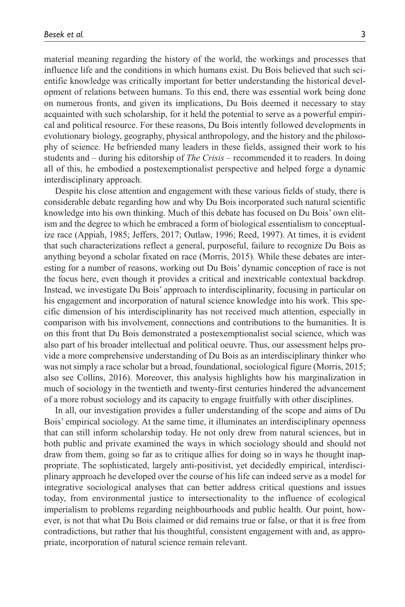material meaning regarding the history of the world, the workings and processes that influence life and the conditions in which humans exist. Du Bois believed that such scientific knowledge was critically important for better understanding the historical development of relations between humans. To this end, there was essential work being done on numerous fronts, and given its implications, Du Bois deemed it necessary to stay acquainted with such scholarship, for it held the potential to serve as a powerful empirical and political resource. For these reasons, Du Bois intently followed developments in evolutionary biology, geography, physical anthropology, and the history and the philosophy of science. He befriended many leaders in these fields, assigned their work to his students and – during his editorship of *The Crisis –* recommended it to readers. In doing all of this, he embodied a postexemptionalist perspective and helped forge a dynamic interdisciplinary approach.

Despite his close attention and engagement with these various fields of study, there is considerable debate regarding how and why Du Bois incorporated such natural scientific knowledge into his own thinking. Much of this debate has focused on Du Bois' own elitism and the degree to which he embraced a form of biological essentialism to conceptualize race (Appiah, 1985; Jeffers, 2017; Outlaw, 1996; Reed, 1997). At times, it is evident that such characterizations reflect a general, purposeful, failure to recognize Du Bois as anything beyond a scholar fixated on race (Morris, 2015). While these debates are interesting for a number of reasons, working out Du Bois' dynamic conception of race is not the focus here, even though it provides a critical and inextricable contextual backdrop. Instead, we investigate Du Bois' approach to interdisciplinarity, focusing in particular on his engagement and incorporation of natural science knowledge into his work. This specific dimension of his interdisciplinarity has not received much attention, especially in comparison with his involvement, connections and contributions to the humanities. It is on this front that Du Bois demonstrated a postexemptionalist social science, which was also part of his broader intellectual and political oeuvre. Thus, our assessment helps provide a more comprehensive understanding of Du Bois as an interdisciplinary thinker who was not simply a race scholar but a broad, foundational, sociological figure (Morris, 2015; also see Collins, 2016). Moreover, this analysis highlights how his marginalization in much of sociology in the twentieth and twenty-first centuries hindered the advancement of a more robust sociology and its capacity to engage fruitfully with other disciplines.

In all, our investigation provides a fuller understanding of the scope and aims of Du Bois' empirical sociology. At the same time, it illuminates an interdisciplinary openness that can still inform scholarship today. He not only drew from natural sciences, but in both public and private examined the ways in which sociology should and should not draw from them, going so far as to critique allies for doing so in ways he thought inappropriate. The sophisticated, largely anti-positivist, yet decidedly empirical, interdisciplinary approach he developed over the course of his life can indeed serve as a model for integrative sociological analyses that can better address critical questions and issues today, from environmental justice to intersectionality to the influence of ecological imperialism to problems regarding neighbourhoods and public health. Our point, however, is not that what Du Bois claimed or did remains true or false, or that it is free from contradictions, but rather that his thoughtful, consistent engagement with and, as appropriate, incorporation of natural science remain relevant.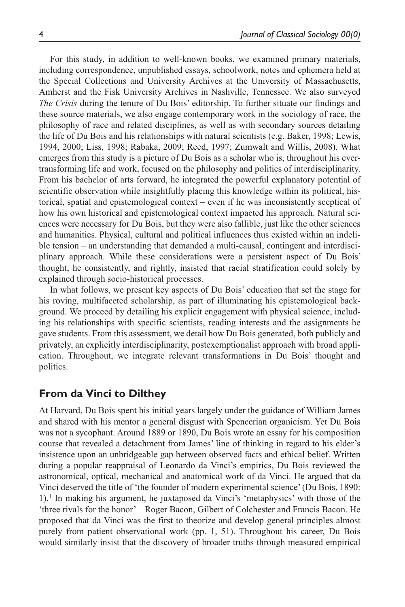For this study, in addition to well-known books, we examined primary materials, including correspondence, unpublished essays, schoolwork, notes and ephemera held at the Special Collections and University Archives at the University of Massachusetts, Amherst and the Fisk University Archives in Nashville, Tennessee. We also surveyed *The Crisis* during the tenure of Du Bois' editorship. To further situate our findings and these source materials, we also engage contemporary work in the sociology of race, the philosophy of race and related disciplines, as well as with secondary sources detailing the life of Du Bois and his relationships with natural scientists (e.g. Baker, 1998; Lewis, 1994, 2000; Liss, 1998; Rabaka, 2009; Reed, 1997; Zumwalt and Willis, 2008). What emerges from this study is a picture of Du Bois as a scholar who is, throughout his evertransforming life and work, focused on the philosophy and politics of interdisciplinarity. From his bachelor of arts forward, he integrated the powerful explanatory potential of scientific observation while insightfully placing this knowledge within its political, historical, spatial and epistemological context – even if he was inconsistently sceptical of how his own historical and epistemological context impacted his approach. Natural sciences were necessary for Du Bois, but they were also fallible, just like the other sciences and humanities. Physical, cultural and political influences thus existed within an indelible tension – an understanding that demanded a multi-causal, contingent and interdisciplinary approach. While these considerations were a persistent aspect of Du Bois' thought, he consistently, and rightly, insisted that racial stratification could solely by explained through socio-historical processes.

In what follows, we present key aspects of Du Bois' education that set the stage for his roving, multifaceted scholarship, as part of illuminating his epistemological background. We proceed by detailing his explicit engagement with physical science, including his relationships with specific scientists, reading interests and the assignments he gave students. From this assessment, we detail how Du Bois generated, both publicly and privately, an explicitly interdisciplinarity, postexemptionalist approach with broad application. Throughout, we integrate relevant transformations in Du Bois' thought and politics.

# **From da Vinci to Dilthey**

At Harvard, Du Bois spent his initial years largely under the guidance of William James and shared with his mentor a general disgust with Spencerian organicism. Yet Du Bois was not a sycophant. Around 1889 or 1890, Du Bois wrote an essay for his composition course that revealed a detachment from James' line of thinking in regard to his elder's insistence upon an unbridgeable gap between observed facts and ethical belief. Written during a popular reappraisal of Leonardo da Vinci's empirics, Du Bois reviewed the astronomical, optical, mechanical and anatomical work of da Vinci. He argued that da Vinci deserved the title of 'the founder of modern experimental science' (Du Bois, 1890: 1).<sup>1</sup> In making his argument, he juxtaposed da Vinci's 'metaphysics' with those of the 'three rivals for the honor' – Roger Bacon, Gilbert of Colchester and Francis Bacon. He proposed that da Vinci was the first to theorize and develop general principles almost purely from patient observational work (pp. 1, 51). Throughout his career, Du Bois would similarly insist that the discovery of broader truths through measured empirical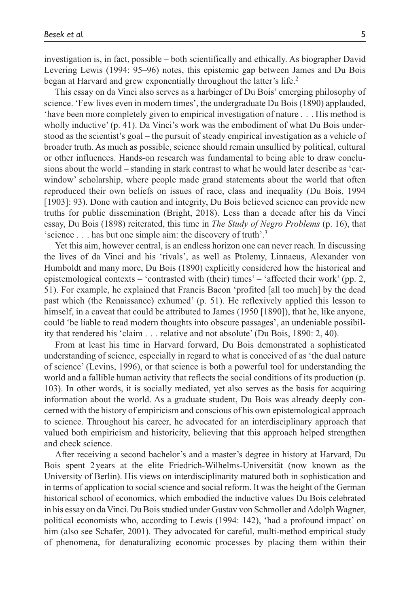investigation is, in fact, possible – both scientifically and ethically. As biographer David Levering Lewis (1994: 95–96) notes, this epistemic gap between James and Du Bois began at Harvard and grew exponentially throughout the latter's life.<sup>2</sup>

This essay on da Vinci also serves as a harbinger of Du Bois' emerging philosophy of science. 'Few lives even in modern times', the undergraduate Du Bois (1890) applauded, 'have been more completely given to empirical investigation of nature . . . His method is wholly inductive' (p. 41). Da Vinci's work was the embodiment of what Du Bois understood as the scientist's goal – the pursuit of steady empirical investigation as a vehicle of broader truth. As much as possible, science should remain unsullied by political, cultural or other influences. Hands-on research was fundamental to being able to draw conclusions about the world – standing in stark contrast to what he would later describe as 'carwindow' scholarship, where people made grand statements about the world that often reproduced their own beliefs on issues of race, class and inequality (Du Bois, 1994 [1903]: 93). Done with caution and integrity, Du Bois believed science can provide new truths for public dissemination (Bright, 2018). Less than a decade after his da Vinci essay, Du Bois (1898) reiterated, this time in *The Study of Negro Problems* (p. 16), that 'science . . . has but one simple aim: the discovery of truth'.3

Yet this aim, however central, is an endless horizon one can never reach. In discussing the lives of da Vinci and his 'rivals', as well as Ptolemy, Linnaeus, Alexander von Humboldt and many more, Du Bois (1890) explicitly considered how the historical and epistemological contexts – 'contrasted with (their) times' – 'affected their work' (pp. 2, 51). For example, he explained that Francis Bacon 'profited [all too much] by the dead past which (the Renaissance) exhumed' (p. 51). He reflexively applied this lesson to himself, in a caveat that could be attributed to James (1950 [1890]), that he, like anyone, could 'be liable to read modern thoughts into obscure passages', an undeniable possibility that rendered his 'claim . . . relative and not absolute' (Du Bois, 1890: 2, 40).

From at least his time in Harvard forward, Du Bois demonstrated a sophisticated understanding of science, especially in regard to what is conceived of as 'the dual nature of science' (Levins, 1996), or that science is both a powerful tool for understanding the world and a fallible human activity that reflects the social conditions of its production (p. 103). In other words, it is socially mediated, yet also serves as the basis for acquiring information about the world. As a graduate student, Du Bois was already deeply concerned with the history of empiricism and conscious of his own epistemological approach to science. Throughout his career, he advocated for an interdisciplinary approach that valued both empiricism and historicity, believing that this approach helped strengthen and check science.

After receiving a second bachelor's and a master's degree in history at Harvard, Du Bois spent 2years at the elite Friedrich-Wilhelms-Universität (now known as the University of Berlin). His views on interdisciplinarity matured both in sophistication and in terms of application to social science and social reform. It was the height of the German historical school of economics, which embodied the inductive values Du Bois celebrated in his essay on da Vinci. Du Bois studied under Gustav von Schmoller and Adolph Wagner, political economists who, according to Lewis (1994: 142), 'had a profound impact' on him (also see Schafer, 2001). They advocated for careful, multi-method empirical study of phenomena, for denaturalizing economic processes by placing them within their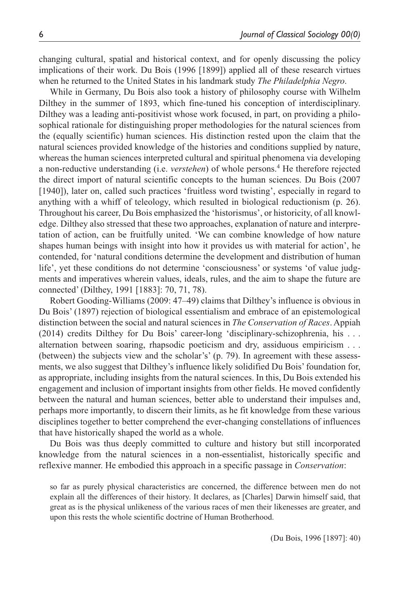changing cultural, spatial and historical context, and for openly discussing the policy implications of their work. Du Bois (1996 [1899]) applied all of these research virtues when he returned to the United States in his landmark study *The Philadelphia Negro*.

While in Germany, Du Bois also took a history of philosophy course with Wilhelm Dilthey in the summer of 1893, which fine-tuned his conception of interdisciplinary. Dilthey was a leading anti-positivist whose work focused, in part, on providing a philosophical rationale for distinguishing proper methodologies for the natural sciences from the (equally scientific) human sciences. His distinction rested upon the claim that the natural sciences provided knowledge of the histories and conditions supplied by nature, whereas the human sciences interpreted cultural and spiritual phenomena via developing a non-reductive understanding (i.e. *verstehen*) of whole persons.<sup>4</sup> He therefore rejected the direct import of natural scientific concepts to the human sciences. Du Bois (2007 [1940]), later on, called such practices 'fruitless word twisting', especially in regard to anything with a whiff of teleology, which resulted in biological reductionism (p. 26). Throughout his career, Du Bois emphasized the 'historismus', or historicity, of all knowledge. Dilthey also stressed that these two approaches, explanation of nature and interpretation of action, can be fruitfully united. 'We can combine knowledge of how nature shapes human beings with insight into how it provides us with material for action', he contended, for 'natural conditions determine the development and distribution of human life', yet these conditions do not determine 'consciousness' or systems 'of value judgments and imperatives wherein values, ideals, rules, and the aim to shape the future are connected' (Dilthey, 1991 [1883]: 70, 71, 78).

Robert Gooding-Williams (2009: 47–49) claims that Dilthey's influence is obvious in Du Bois' (1897) rejection of biological essentialism and embrace of an epistemological distinction between the social and natural sciences in *The Conservation of Races*. Appiah (2014) credits Dilthey for Du Bois' career-long 'disciplinary-schizophrenia, his . . . alternation between soaring, rhapsodic poeticism and dry, assiduous empiricism . . . (between) the subjects view and the scholar's' (p. 79). In agreement with these assessments, we also suggest that Dilthey's influence likely solidified Du Bois' foundation for, as appropriate, including insights from the natural sciences. In this, Du Bois extended his engagement and inclusion of important insights from other fields. He moved confidently between the natural and human sciences, better able to understand their impulses and, perhaps more importantly, to discern their limits, as he fit knowledge from these various disciplines together to better comprehend the ever-changing constellations of influences that have historically shaped the world as a whole.

Du Bois was thus deeply committed to culture and history but still incorporated knowledge from the natural sciences in a non-essentialist, historically specific and reflexive manner. He embodied this approach in a specific passage in *Conservation*:

so far as purely physical characteristics are concerned, the difference between men do not explain all the differences of their history. It declares, as [Charles] Darwin himself said, that great as is the physical unlikeness of the various races of men their likenesses are greater, and upon this rests the whole scientific doctrine of Human Brotherhood.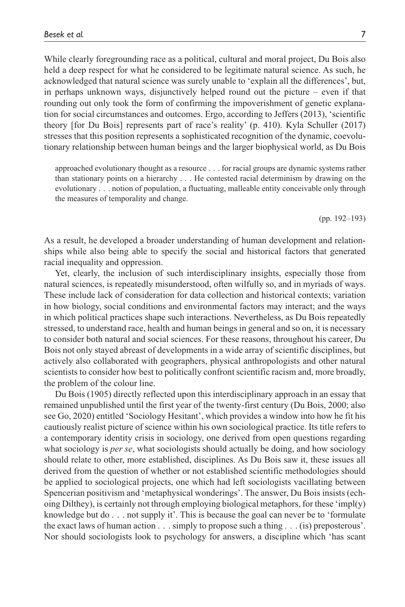While clearly foregrounding race as a political, cultural and moral project, Du Bois also held a deep respect for what he considered to be legitimate natural science. As such, he acknowledged that natural science was surely unable to 'explain all the differences', but, in perhaps unknown ways, disjunctively helped round out the picture – even if that rounding out only took the form of confirming the impoverishment of genetic explanation for social circumstances and outcomes. Ergo, according to Jeffers (2013), 'scientific theory [for Du Bois] represents part of race's reality' (p. 410). Kyla Schuller (2017) stresses that this position represents a sophisticated recognition of the dynamic, coevolutionary relationship between human beings and the larger biophysical world, as Du Bois

approached evolutionary thought as a resource . . . for racial groups are dynamic systems rather than stationary points on a hierarchy . . . He contested racial determinism by drawing on the evolutionary . . . notion of population, a fluctuating, malleable entity conceivable only through the measures of temporality and change.

(pp. 192–193)

As a result, he developed a broader understanding of human development and relationships while also being able to specify the social and historical factors that generated racial inequality and oppression.

Yet, clearly, the inclusion of such interdisciplinary insights, especially those from natural sciences, is repeatedly misunderstood, often wilfully so, and in myriads of ways. These include lack of consideration for data collection and historical contexts; variation in how biology, social conditions and environmental factors may interact; and the ways in which political practices shape such interactions. Nevertheless, as Du Bois repeatedly stressed, to understand race, health and human beings in general and so on, it is necessary to consider both natural and social sciences. For these reasons, throughout his career, Du Bois not only stayed abreast of developments in a wide array of scientific disciplines, but actively also collaborated with geographers, physical anthropologists and other natural scientists to consider how best to politically confront scientific racism and, more broadly, the problem of the colour line.

Du Bois (1905) directly reflected upon this interdisciplinary approach in an essay that remained unpublished until the first year of the twenty-first century (Du Bois, 2000; also see Go, 2020) entitled 'Sociology Hesitant', which provides a window into how he fit his cautiously realist picture of science within his own sociological practice. Its title refers to a contemporary identity crisis in sociology, one derived from open questions regarding what sociology is *per se*, what sociologists should actually be doing, and how sociology should relate to other, more established, disciplines. As Du Bois saw it, these issues all derived from the question of whether or not established scientific methodologies should be applied to sociological projects, one which had left sociologists vacillating between Spencerian positivism and 'metaphysical wonderings'. The answer, Du Bois insists (echoing Dilthey), is certainly not through employing biological metaphors, for these 'impl(y) knowledge but do . . . not supply it'. This is because the goal can never be to 'formulate the exact laws of human action . . . simply to propose such a thing . . . (is) preposterous'. Nor should sociologists look to psychology for answers, a discipline which 'has scant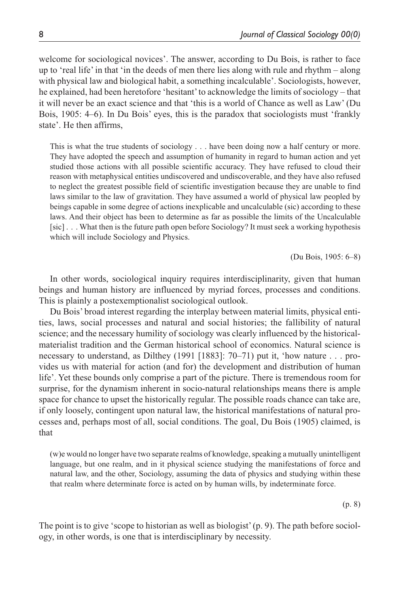welcome for sociological novices'. The answer, according to Du Bois, is rather to face up to 'real life' in that 'in the deeds of men there lies along with rule and rhythm – along with physical law and biological habit, a something incalculable'. Sociologists, however, he explained, had been heretofore 'hesitant' to acknowledge the limits of sociology – that it will never be an exact science and that 'this is a world of Chance as well as Law' (Du Bois, 1905: 4–6). In Du Bois' eyes, this is the paradox that sociologists must 'frankly state'. He then affirms,

This is what the true students of sociology . . . have been doing now a half century or more. They have adopted the speech and assumption of humanity in regard to human action and yet studied those actions with all possible scientific accuracy. They have refused to cloud their reason with metaphysical entities undiscovered and undiscoverable, and they have also refused to neglect the greatest possible field of scientific investigation because they are unable to find laws similar to the law of gravitation. They have assumed a world of physical law peopled by beings capable in some degree of actions inexplicable and uncalculable (sic) according to these laws. And their object has been to determine as far as possible the limits of the Uncalculable [sic] . . . What then is the future path open before Sociology? It must seek a working hypothesis which will include Sociology and Physics.

(Du Bois, 1905: 6–8)

In other words, sociological inquiry requires interdisciplinarity, given that human beings and human history are influenced by myriad forces, processes and conditions. This is plainly a postexemptionalist sociological outlook.

Du Bois' broad interest regarding the interplay between material limits, physical entities, laws, social processes and natural and social histories; the fallibility of natural science; and the necessary humility of sociology was clearly influenced by the historicalmaterialist tradition and the German historical school of economics. Natural science is necessary to understand, as Dilthey (1991 [1883]: 70–71) put it, 'how nature . . . provides us with material for action (and for) the development and distribution of human life'. Yet these bounds only comprise a part of the picture. There is tremendous room for surprise, for the dynamism inherent in socio-natural relationships means there is ample space for chance to upset the historically regular. The possible roads chance can take are, if only loosely, contingent upon natural law, the historical manifestations of natural processes and, perhaps most of all, social conditions. The goal, Du Bois (1905) claimed, is that

(w)e would no longer have two separate realms of knowledge, speaking a mutually unintelligent language, but one realm, and in it physical science studying the manifestations of force and natural law, and the other, Sociology, assuming the data of physics and studying within these that realm where determinate force is acted on by human wills, by indeterminate force.

(p. 8)

The point is to give 'scope to historian as well as biologist' (p. 9). The path before sociology, in other words, is one that is interdisciplinary by necessity.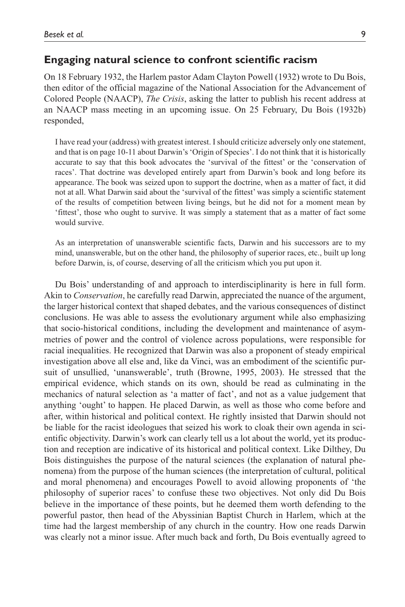#### **Engaging natural science to confront scientific racism**

On 18 February 1932, the Harlem pastor Adam Clayton Powell (1932) wrote to Du Bois, then editor of the official magazine of the National Association for the Advancement of Colored People (NAACP), *The Crisis*, asking the latter to publish his recent address at an NAACP mass meeting in an upcoming issue. On 25 February, Du Bois (1932b) responded,

I have read your (address) with greatest interest. I should criticize adversely only one statement, and that is on page 10-11 about Darwin's 'Origin of Species'. I do not think that it is historically accurate to say that this book advocates the 'survival of the fittest' or the 'conservation of races'. That doctrine was developed entirely apart from Darwin's book and long before its appearance. The book was seized upon to support the doctrine, when as a matter of fact, it did not at all. What Darwin said about the 'survival of the fittest' was simply a scientific statement of the results of competition between living beings, but he did not for a moment mean by 'fittest', those who ought to survive. It was simply a statement that as a matter of fact some would survive.

As an interpretation of unanswerable scientific facts, Darwin and his successors are to my mind, unanswerable, but on the other hand, the philosophy of superior races, etc., built up long before Darwin, is, of course, deserving of all the criticism which you put upon it.

Du Bois' understanding of and approach to interdisciplinarity is here in full form. Akin to *Conservation*, he carefully read Darwin, appreciated the nuance of the argument, the larger historical context that shaped debates, and the various consequences of distinct conclusions. He was able to assess the evolutionary argument while also emphasizing that socio-historical conditions, including the development and maintenance of asymmetries of power and the control of violence across populations, were responsible for racial inequalities. He recognized that Darwin was also a proponent of steady empirical investigation above all else and, like da Vinci, was an embodiment of the scientific pursuit of unsullied, 'unanswerable', truth (Browne, 1995, 2003). He stressed that the empirical evidence, which stands on its own, should be read as culminating in the mechanics of natural selection as 'a matter of fact', and not as a value judgement that anything 'ought' to happen. He placed Darwin, as well as those who come before and after, within historical and political context. He rightly insisted that Darwin should not be liable for the racist ideologues that seized his work to cloak their own agenda in scientific objectivity. Darwin's work can clearly tell us a lot about the world, yet its production and reception are indicative of its historical and political context. Like Dilthey, Du Bois distinguishes the purpose of the natural sciences (the explanation of natural phenomena) from the purpose of the human sciences (the interpretation of cultural, political and moral phenomena) and encourages Powell to avoid allowing proponents of 'the philosophy of superior races' to confuse these two objectives. Not only did Du Bois believe in the importance of these points, but he deemed them worth defending to the powerful pastor, then head of the Abyssinian Baptist Church in Harlem, which at the time had the largest membership of any church in the country. How one reads Darwin was clearly not a minor issue. After much back and forth, Du Bois eventually agreed to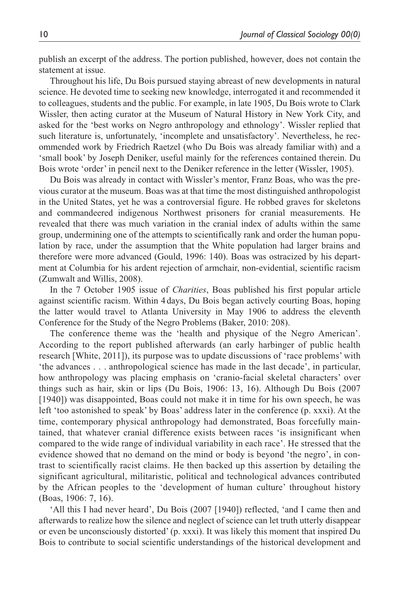publish an excerpt of the address. The portion published, however, does not contain the statement at issue.

Throughout his life, Du Bois pursued staying abreast of new developments in natural science. He devoted time to seeking new knowledge, interrogated it and recommended it to colleagues, students and the public. For example, in late 1905, Du Bois wrote to Clark Wissler, then acting curator at the Museum of Natural History in New York City, and asked for the 'best works on Negro anthropology and ethnology'. Wissler replied that such literature is, unfortunately, 'incomplete and unsatisfactory'. Nevertheless, he recommended work by Friedrich Raetzel (who Du Bois was already familiar with) and a 'small book' by Joseph Deniker, useful mainly for the references contained therein. Du Bois wrote 'order' in pencil next to the Deniker reference in the letter (Wissler, 1905).

Du Bois was already in contact with Wissler's mentor, Franz Boas, who was the previous curator at the museum. Boas was at that time the most distinguished anthropologist in the United States, yet he was a controversial figure. He robbed graves for skeletons and commandeered indigenous Northwest prisoners for cranial measurements. He revealed that there was much variation in the cranial index of adults within the same group, undermining one of the attempts to scientifically rank and order the human population by race, under the assumption that the White population had larger brains and therefore were more advanced (Gould, 1996: 140). Boas was ostracized by his department at Columbia for his ardent rejection of armchair, non-evidential, scientific racism (Zumwalt and Willis, 2008).

In the 7 October 1905 issue of *Charities*, Boas published his first popular article against scientific racism. Within 4 days, Du Bois began actively courting Boas, hoping the latter would travel to Atlanta University in May 1906 to address the eleventh Conference for the Study of the Negro Problems (Baker, 2010: 208).

The conference theme was the 'health and physique of the Negro American'. According to the report published afterwards (an early harbinger of public health research [White, 2011]), its purpose was to update discussions of 'race problems' with 'the advances . . . anthropological science has made in the last decade', in particular, how anthropology was placing emphasis on 'cranio-facial skeletal characters' over things such as hair, skin or lips (Du Bois, 1906: 13, 16). Although Du Bois (2007 [1940]) was disappointed, Boas could not make it in time for his own speech, he was left 'too astonished to speak' by Boas' address later in the conference (p. xxxi). At the time, contemporary physical anthropology had demonstrated, Boas forcefully maintained, that whatever cranial difference exists between races 'is insignificant when compared to the wide range of individual variability in each race'. He stressed that the evidence showed that no demand on the mind or body is beyond 'the negro', in contrast to scientifically racist claims. He then backed up this assertion by detailing the significant agricultural, militaristic, political and technological advances contributed by the African peoples to the 'development of human culture' throughout history (Boas, 1906: 7, 16).

'All this I had never heard', Du Bois (2007 [1940]) reflected, 'and I came then and afterwards to realize how the silence and neglect of science can let truth utterly disappear or even be unconsciously distorted' (p. xxxi). It was likely this moment that inspired Du Bois to contribute to social scientific understandings of the historical development and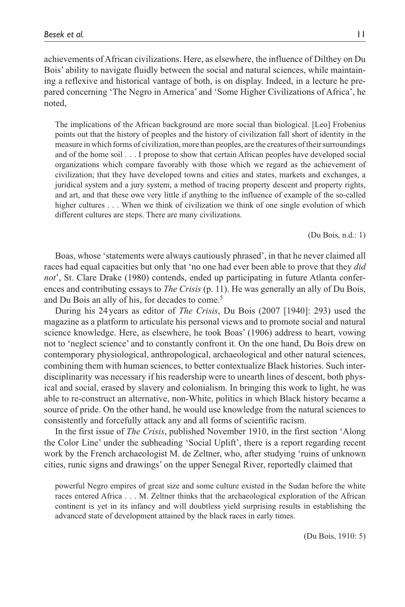achievements of African civilizations. Here, as elsewhere, the influence of Dilthey on Du Bois' ability to navigate fluidly between the social and natural sciences, while maintaining a reflexive and historical vantage of both, is on display. Indeed, in a lecture he prepared concerning 'The Negro in America' and 'Some Higher Civilizations of Africa', he noted,

The implications of the African background are more social than biological. [Leo] Frobenius points out that the history of peoples and the history of civilization fall short of identity in the measure in which forms of civilization, more than peoples, are the creatures of their surroundings and of the home soil . . . I propose to show that certain African peoples have developed social organizations which compare favorably with those which we regard as the achievement of civilization; that they have developed towns and cities and states, markets and exchanges, a juridical system and a jury system, a method of tracing property descent and property rights, and art, and that these owe very little if anything to the influence of example of the so-called higher cultures . . . When we think of civilization we think of one single evolution of which different cultures are steps. There are many civilizations.

(Du Bois, n.d.: 1)

Boas, whose 'statements were always cautiously phrased', in that he never claimed all races had equal capacities but only that 'no one had ever been able to prove that they *did not*', St. Clare Drake (1980) contends, ended up participating in future Atlanta conferences and contributing essays to *The Crisis* (p. 11). He was generally an ally of Du Bois, and Du Bois an ally of his, for decades to come.<sup>5</sup>

During his 24 years as editor of *The Crisis*, Du Bois (2007 [1940]: 293) used the magazine as a platform to articulate his personal views and to promote social and natural science knowledge. Here, as elsewhere, he took Boas' (1906) address to heart, vowing not to 'neglect science' and to constantly confront it. On the one hand, Du Bois drew on contemporary physiological, anthropological, archaeological and other natural sciences, combining them with human sciences, to better contextualize Black histories. Such interdisciplinarity was necessary if his readership were to unearth lines of descent, both physical and social, erased by slavery and colonialism. In bringing this work to light, he was able to re-construct an alternative, non-White, politics in which Black history became a source of pride. On the other hand, he would use knowledge from the natural sciences to consistently and forcefully attack any and all forms of scientific racism.

In the first issue of *The Crisis*, published November 1910, in the first section 'Along the Color Line' under the subheading 'Social Uplift', there is a report regarding recent work by the French archaeologist M. de Zeltner, who, after studying 'ruins of unknown cities, runic signs and drawings' on the upper Senegal River, reportedly claimed that

powerful Negro empires of great size and some culture existed in the Sudan before the white races entered Africa . . . M. Zeltner thinks that the archaeological exploration of the African continent is yet in its infancy and will doubtless yield surprising results in establishing the advanced state of development attained by the black races in early times.

(Du Bois, 1910: 5)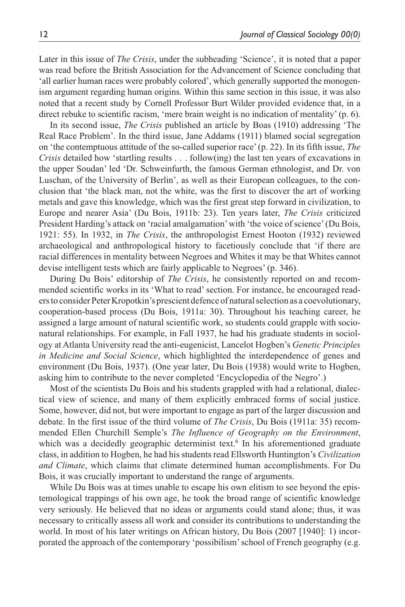Later in this issue of *The Crisis*, under the subheading 'Science', it is noted that a paper was read before the British Association for the Advancement of Science concluding that 'all earlier human races were probably colored', which generally supported the monogenism argument regarding human origins. Within this same section in this issue, it was also noted that a recent study by Cornell Professor Burt Wilder provided evidence that, in a direct rebuke to scientific racism, 'mere brain weight is no indication of mentality' (p. 6).

In its second issue, *The Crisis* published an article by Boas (1910) addressing 'The Real Race Problem'. In the third issue, Jane Addams (1911) blamed social segregation on 'the contemptuous attitude of the so-called superior race' (p. 22). In its fifth issue, *The Crisis* detailed how 'startling results . . . follow(ing) the last ten years of excavations in the upper Soudan' led 'Dr. Schweinfurth, the famous German ethnologist, and Dr. von Luschan, of the University of Berlin', as well as their European colleagues, to the conclusion that 'the black man, not the white, was the first to discover the art of working metals and gave this knowledge, which was the first great step forward in civilization, to Europe and nearer Asia' (Du Bois, 1911b: 23). Ten years later, *The Crisis* criticized President Harding's attack on 'racial amalgamation' with 'the voice of science' (Du Bois, 1921: 55). In 1932, in *The Crisis*, the anthropologist Ernest Hooton (1932) reviewed archaeological and anthropological history to facetiously conclude that 'if there are racial differences in mentality between Negroes and Whites it may be that Whites cannot devise intelligent tests which are fairly applicable to Negroes' (p. 346).

During Du Bois' editorship of *The Crisis*, he consistently reported on and recommended scientific works in its 'What to read' section. For instance, he encouraged readers to consider Peter Kropotkin's prescient defence of natural selection as a coevolutionary, cooperation-based process (Du Bois, 1911a: 30). Throughout his teaching career, he assigned a large amount of natural scientific work, so students could grapple with socionatural relationships. For example, in Fall 1937, he had his graduate students in sociology at Atlanta University read the anti-eugenicist, Lancelot Hogben's *Genetic Principles in Medicine and Social Science*, which highlighted the interdependence of genes and environment (Du Bois, 1937). (One year later, Du Bois (1938) would write to Hogben, asking him to contribute to the never completed 'Encyclopedia of the Negro'.)

Most of the scientists Du Bois and his students grappled with had a relational, dialectical view of science, and many of them explicitly embraced forms of social justice. Some, however, did not, but were important to engage as part of the larger discussion and debate. In the first issue of the third volume of *The Crisis*, Du Bois (1911a: 35) recommended Ellen Churchill Semple's *The Influence of Geography on the Environment*, which was a decidedly geographic determinist text.<sup>6</sup> In his aforementioned graduate class, in addition to Hogben, he had his students read Ellsworth Huntington's *Civilization and Climate*, which claims that climate determined human accomplishments. For Du Bois, it was crucially important to understand the range of arguments.

While Du Bois was at times unable to escape his own elitism to see beyond the epistemological trappings of his own age, he took the broad range of scientific knowledge very seriously. He believed that no ideas or arguments could stand alone; thus, it was necessary to critically assess all work and consider its contributions to understanding the world. In most of his later writings on African history, Du Bois (2007 [1940]: 1) incorporated the approach of the contemporary 'possibilism' school of French geography (e.g.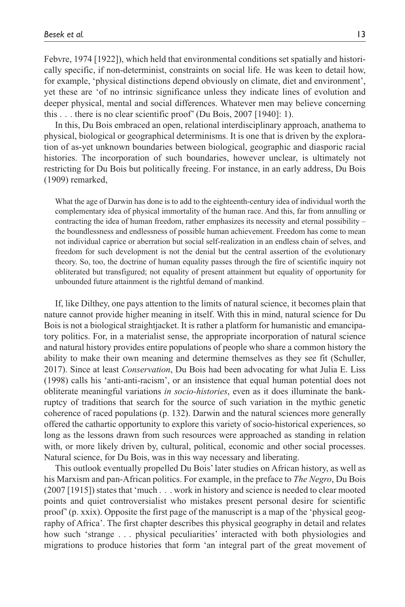Febvre, 1974 [1922]), which held that environmental conditions set spatially and historically specific, if non-determinist, constraints on social life. He was keen to detail how, for example, 'physical distinctions depend obviously on climate, diet and environment', yet these are 'of no intrinsic significance unless they indicate lines of evolution and deeper physical, mental and social differences. Whatever men may believe concerning this . . . there is no clear scientific proof' (Du Bois, 2007 [1940]: 1).

In this, Du Bois embraced an open, relational interdisciplinary approach, anathema to physical, biological or geographical determinisms. It is one that is driven by the exploration of as-yet unknown boundaries between biological, geographic and diasporic racial histories. The incorporation of such boundaries, however unclear, is ultimately not restricting for Du Bois but politically freeing. For instance, in an early address, Du Bois (1909) remarked,

What the age of Darwin has done is to add to the eighteenth-century idea of individual worth the complementary idea of physical immortality of the human race. And this, far from annulling or contracting the idea of human freedom, rather emphasizes its necessity and eternal possibility – the boundlessness and endlessness of possible human achievement. Freedom has come to mean not individual caprice or aberration but social self-realization in an endless chain of selves, and freedom for such development is not the denial but the central assertion of the evolutionary theory. So, too, the doctrine of human equality passes through the fire of scientific inquiry not obliterated but transfigured; not equality of present attainment but equality of opportunity for unbounded future attainment is the rightful demand of mankind.

If, like Dilthey, one pays attention to the limits of natural science, it becomes plain that nature cannot provide higher meaning in itself. With this in mind, natural science for Du Bois is not a biological straightjacket. It is rather a platform for humanistic and emancipatory politics. For, in a materialist sense, the appropriate incorporation of natural science and natural history provides entire populations of people who share a common history the ability to make their own meaning and determine themselves as they see fit (Schuller, 2017). Since at least *Conservation*, Du Bois had been advocating for what Julia E. Liss (1998) calls his 'anti-anti-racism', or an insistence that equal human potential does not obliterate meaningful variations *in socio-histories*, even as it does illuminate the bankruptcy of traditions that search for the source of such variation in the mythic genetic coherence of raced populations (p. 132). Darwin and the natural sciences more generally offered the cathartic opportunity to explore this variety of socio-historical experiences, so long as the lessons drawn from such resources were approached as standing in relation with, or more likely driven by, cultural, political, economic and other social processes. Natural science, for Du Bois, was in this way necessary and liberating.

This outlook eventually propelled Du Bois' later studies on African history, as well as his Marxism and pan-African politics. For example, in the preface to *The Negro*, Du Bois (2007 [1915]) states that 'much . . . work in history and science is needed to clear mooted points and quiet controversialist who mistakes present personal desire for scientific proof' (p. xxix). Opposite the first page of the manuscript is a map of the 'physical geography of Africa'. The first chapter describes this physical geography in detail and relates how such 'strange . . . physical peculiarities' interacted with both physiologies and migrations to produce histories that form 'an integral part of the great movement of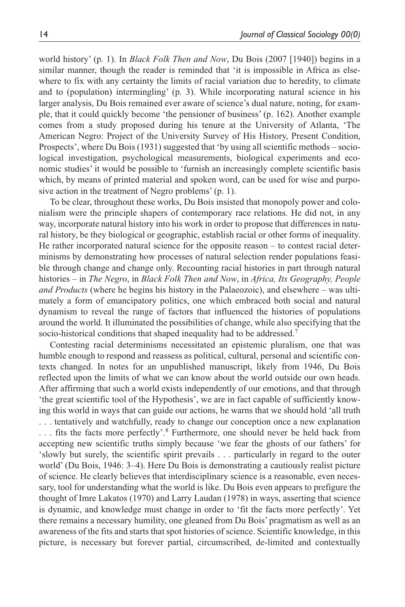world history' (p. 1). In *Black Folk Then and Now*, Du Bois (2007 [1940]) begins in a similar manner, though the reader is reminded that 'it is impossible in Africa as elsewhere to fix with any certainty the limits of racial variation due to heredity, to climate and to (population) intermingling' (p. 3). While incorporating natural science in his larger analysis, Du Bois remained ever aware of science's dual nature, noting, for example, that it could quickly become 'the pensioner of business' (p. 162). Another example comes from a study proposed during his tenure at the University of Atlanta, 'The American Negro: Project of the University Survey of His History, Present Condition, Prospects', where Du Bois (1931) suggested that 'by using all scientific methods – sociological investigation, psychological measurements, biological experiments and economic studies' it would be possible to 'furnish an increasingly complete scientific basis which, by means of printed material and spoken word, can be used for wise and purposive action in the treatment of Negro problems' (p. 1).

To be clear, throughout these works, Du Bois insisted that monopoly power and colonialism were the principle shapers of contemporary race relations. He did not, in any way, incorporate natural history into his work in order to propose that differences in natural history, be they biological or geographic, establish racial or other forms of inequality. He rather incorporated natural science for the opposite reason – to contest racial determinisms by demonstrating how processes of natural selection render populations feasible through change and change only. Recounting racial histories in part through natural histories – in *The Negro*, in *Black Folk Then and Now*, in *Africa, Its Geography, People and Products* (where he begins his history in the Palaeozoic), and elsewhere – was ultimately a form of emancipatory politics, one which embraced both social and natural dynamism to reveal the range of factors that influenced the histories of populations around the world. It illuminated the possibilities of change, while also specifying that the socio-historical conditions that shaped inequality had to be addressed.<sup>7</sup>

Contesting racial determinisms necessitated an epistemic pluralism, one that was humble enough to respond and reassess as political, cultural, personal and scientific contexts changed. In notes for an unpublished manuscript, likely from 1946, Du Bois reflected upon the limits of what we can know about the world outside our own heads. After affirming that such a world exists independently of our emotions, and that through 'the great scientific tool of the Hypothesis', we are in fact capable of sufficiently knowing this world in ways that can guide our actions, he warns that we should hold 'all truth . . . tentatively and watchfully, ready to change our conception once a new explanation ... fits the facts more perfectly'.<sup>8</sup> Furthermore, one should never be held back from accepting new scientific truths simply because 'we fear the ghosts of our fathers' for 'slowly but surely, the scientific spirit prevails . . . particularly in regard to the outer world' (Du Bois, 1946: 3–4). Here Du Bois is demonstrating a cautiously realist picture of science. He clearly believes that interdisciplinary science is a reasonable, even necessary, tool for understanding what the world is like. Du Bois even appears to prefigure the thought of Imre Lakatos (1970) and Larry Laudan (1978) in ways, asserting that science is dynamic, and knowledge must change in order to 'fit the facts more perfectly'. Yet there remains a necessary humility, one gleaned from Du Bois' pragmatism as well as an awareness of the fits and starts that spot histories of science. Scientific knowledge, in this picture, is necessary but forever partial, circumscribed, de-limited and contextually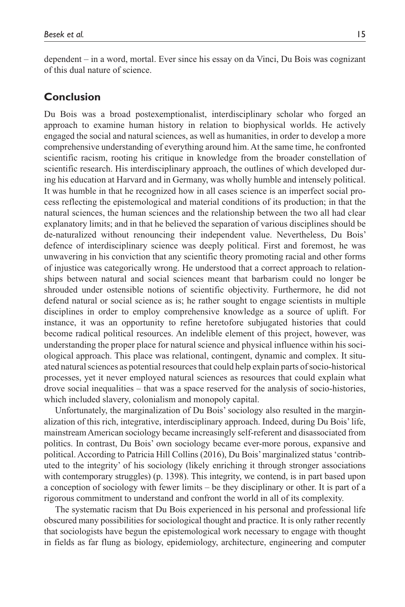dependent – in a word, mortal. Ever since his essay on da Vinci, Du Bois was cognizant of this dual nature of science.

# **Conclusion**

Du Bois was a broad postexemptionalist, interdisciplinary scholar who forged an approach to examine human history in relation to biophysical worlds. He actively engaged the social and natural sciences, as well as humanities, in order to develop a more comprehensive understanding of everything around him. At the same time, he confronted scientific racism, rooting his critique in knowledge from the broader constellation of scientific research. His interdisciplinary approach, the outlines of which developed during his education at Harvard and in Germany, was wholly humble and intensely political. It was humble in that he recognized how in all cases science is an imperfect social process reflecting the epistemological and material conditions of its production; in that the natural sciences, the human sciences and the relationship between the two all had clear explanatory limits; and in that he believed the separation of various disciplines should be de-naturalized without renouncing their independent value. Nevertheless, Du Bois' defence of interdisciplinary science was deeply political. First and foremost, he was unwavering in his conviction that any scientific theory promoting racial and other forms of injustice was categorically wrong. He understood that a correct approach to relationships between natural and social sciences meant that barbarism could no longer be shrouded under ostensible notions of scientific objectivity. Furthermore, he did not defend natural or social science as is; he rather sought to engage scientists in multiple disciplines in order to employ comprehensive knowledge as a source of uplift. For instance, it was an opportunity to refine heretofore subjugated histories that could become radical political resources. An indelible element of this project, however, was understanding the proper place for natural science and physical influence within his sociological approach. This place was relational, contingent, dynamic and complex. It situated natural sciences as potential resources that could help explain parts of socio-historical processes, yet it never employed natural sciences as resources that could explain what drove social inequalities – that was a space reserved for the analysis of socio-histories, which included slavery, colonialism and monopoly capital.

Unfortunately, the marginalization of Du Bois' sociology also resulted in the marginalization of this rich, integrative, interdisciplinary approach. Indeed, during Du Bois' life, mainstream American sociology became increasingly self-referent and disassociated from politics. In contrast, Du Bois' own sociology became ever-more porous, expansive and political. According to Patricia Hill Collins (2016), Du Bois' marginalized status 'contributed to the integrity' of his sociology (likely enriching it through stronger associations with contemporary struggles) (p. 1398). This integrity, we contend, is in part based upon a conception of sociology with fewer limits – be they disciplinary or other. It is part of a rigorous commitment to understand and confront the world in all of its complexity.

The systematic racism that Du Bois experienced in his personal and professional life obscured many possibilities for sociological thought and practice. It is only rather recently that sociologists have begun the epistemological work necessary to engage with thought in fields as far flung as biology, epidemiology, architecture, engineering and computer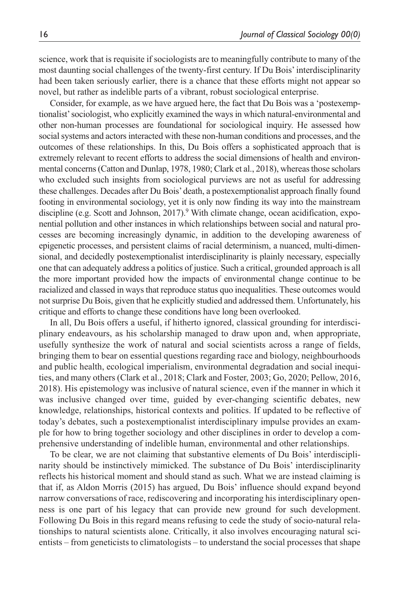science, work that is requisite if sociologists are to meaningfully contribute to many of the most daunting social challenges of the twenty-first century. If Du Bois' interdisciplinarity had been taken seriously earlier, there is a chance that these efforts might not appear so novel, but rather as indelible parts of a vibrant, robust sociological enterprise.

Consider, for example, as we have argued here, the fact that Du Bois was a 'postexemptionalist' sociologist, who explicitly examined the ways in which natural-environmental and other non-human processes are foundational for sociological inquiry. He assessed how social systems and actors interacted with these non-human conditions and processes, and the outcomes of these relationships. In this, Du Bois offers a sophisticated approach that is extremely relevant to recent efforts to address the social dimensions of health and environmental concerns (Catton and Dunlap, 1978, 1980; Clark et al., 2018), whereas those scholars who excluded such insights from sociological purviews are not as useful for addressing these challenges. Decades after Du Bois' death, a postexemptionalist approach finally found footing in environmental sociology, yet it is only now finding its way into the mainstream discipline (e.g. Scott and Johnson, 2017).<sup>9</sup> With climate change, ocean acidification, exponential pollution and other instances in which relationships between social and natural processes are becoming increasingly dynamic, in addition to the developing awareness of epigenetic processes, and persistent claims of racial determinism, a nuanced, multi-dimensional, and decidedly postexemptionalist interdisciplinarity is plainly necessary, especially one that can adequately address a politics of justice. Such a critical, grounded approach is all the more important provided how the impacts of environmental change continue to be racialized and classed in ways that reproduce status quo inequalities. These outcomes would not surprise Du Bois, given that he explicitly studied and addressed them. Unfortunately, his critique and efforts to change these conditions have long been overlooked.

In all, Du Bois offers a useful, if hitherto ignored, classical grounding for interdisciplinary endeavours, as his scholarship managed to draw upon and, when appropriate, usefully synthesize the work of natural and social scientists across a range of fields, bringing them to bear on essential questions regarding race and biology, neighbourhoods and public health, ecological imperialism, environmental degradation and social inequities, and many others (Clark et al., 2018; Clark and Foster, 2003; Go, 2020; Pellow, 2016, 2018). His epistemology was inclusive of natural science, even if the manner in which it was inclusive changed over time, guided by ever-changing scientific debates, new knowledge, relationships, historical contexts and politics. If updated to be reflective of today's debates, such a postexemptionalist interdisciplinary impulse provides an example for how to bring together sociology and other disciplines in order to develop a comprehensive understanding of indelible human, environmental and other relationships.

To be clear, we are not claiming that substantive elements of Du Bois' interdisciplinarity should be instinctively mimicked. The substance of Du Bois' interdisciplinarity reflects his historical moment and should stand as such. What we are instead claiming is that if, as Aldon Morris (2015) has argued, Du Bois' influence should expand beyond narrow conversations of race, rediscovering and incorporating his interdisciplinary openness is one part of his legacy that can provide new ground for such development. Following Du Bois in this regard means refusing to cede the study of socio-natural relationships to natural scientists alone. Critically, it also involves encouraging natural scientists – from geneticists to climatologists – to understand the social processes that shape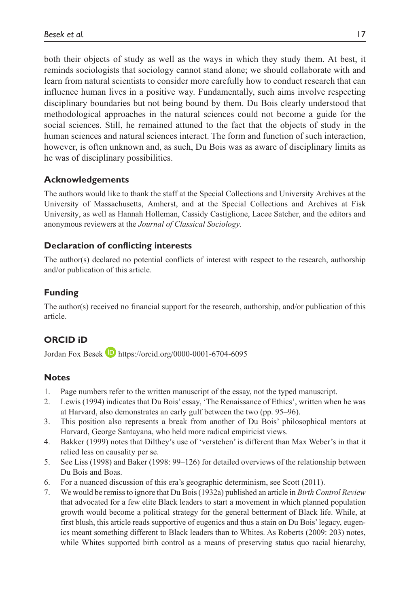both their objects of study as well as the ways in which they study them. At best, it reminds sociologists that sociology cannot stand alone; we should collaborate with and learn from natural scientists to consider more carefully how to conduct research that can influence human lives in a positive way. Fundamentally, such aims involve respecting disciplinary boundaries but not being bound by them. Du Bois clearly understood that methodological approaches in the natural sciences could not become a guide for the social sciences. Still, he remained attuned to the fact that the objects of study in the human sciences and natural sciences interact. The form and function of such interaction, however, is often unknown and, as such, Du Bois was as aware of disciplinary limits as he was of disciplinary possibilities.

### **Acknowledgements**

The authors would like to thank the staff at the Special Collections and University Archives at the University of Massachusetts, Amherst, and at the Special Collections and Archives at Fisk University, as well as Hannah Holleman, Cassidy Castiglione, Lacee Satcher, and the editors and anonymous reviewers at the *Journal of Classical Sociology*.

### **Declaration of conflicting interests**

The author(s) declared no potential conflicts of interest with respect to the research, authorship and/or publication of this article.

# **Funding**

The author(s) received no financial support for the research, authorship, and/or publication of this article.

# **ORCID iD**

Jordan Fox Besek **h**ttps://orcid.org/0000-0001-6704-6095

#### **Notes**

- 1. Page numbers refer to the written manuscript of the essay, not the typed manuscript.
- 2. Lewis (1994) indicates that Du Bois' essay, 'The Renaissance of Ethics', written when he was at Harvard, also demonstrates an early gulf between the two (pp. 95–96).
- 3. This position also represents a break from another of Du Bois' philosophical mentors at Harvard, George Santayana, who held more radical empiricist views.
- 4. Bakker (1999) notes that Dilthey's use of 'verstehen' is different than Max Weber's in that it relied less on causality per se.
- 5. See Liss (1998) and Baker (1998: 99–126) for detailed overviews of the relationship between Du Bois and Boas.
- 6. For a nuanced discussion of this era's geographic determinism, see Scott (2011).
- 7. We would be remiss to ignore that Du Bois (1932a) published an article in *Birth Control Review* that advocated for a few elite Black leaders to start a movement in which planned population growth would become a political strategy for the general betterment of Black life. While, at first blush, this article reads supportive of eugenics and thus a stain on Du Bois' legacy, eugenics meant something different to Black leaders than to Whites. As Roberts (2009: 203) notes, while Whites supported birth control as a means of preserving status quo racial hierarchy,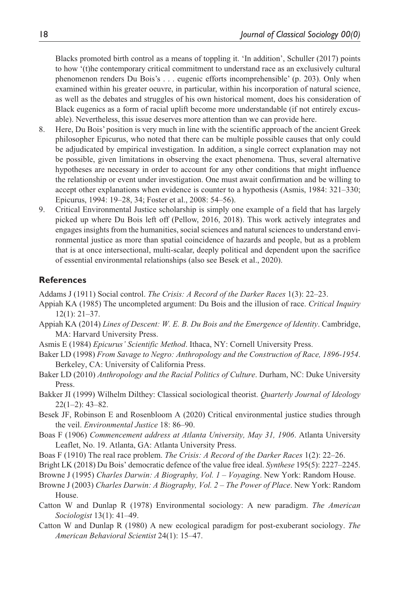Blacks promoted birth control as a means of toppling it. 'In addition', Schuller (2017) points to how '(t)he contemporary critical commitment to understand race as an exclusively cultural phenomenon renders Du Bois's . . . eugenic efforts incomprehensible' (p. 203). Only when examined within his greater oeuvre, in particular, within his incorporation of natural science, as well as the debates and struggles of his own historical moment, does his consideration of Black eugenics as a form of racial uplift become more understandable (if not entirely excusable). Nevertheless, this issue deserves more attention than we can provide here.

- 8. Here, Du Bois' position is very much in line with the scientific approach of the ancient Greek philosopher Epicurus, who noted that there can be multiple possible causes that only could be adjudicated by empirical investigation. In addition, a single correct explanation may not be possible, given limitations in observing the exact phenomena. Thus, several alternative hypotheses are necessary in order to account for any other conditions that might influence the relationship or event under investigation. One must await confirmation and be willing to accept other explanations when evidence is counter to a hypothesis (Asmis, 1984: 321–330; Epicurus, 1994: 19–28, 34; Foster et al., 2008: 54–56).
- 9. Critical Environmental Justice scholarship is simply one example of a field that has largely picked up where Du Bois left off (Pellow, 2016, 2018). This work actively integrates and engages insights from the humanities, social sciences and natural sciences to understand environmental justice as more than spatial coincidence of hazards and people, but as a problem that is at once intersectional, multi-scalar, deeply political and dependent upon the sacrifice of essential environmental relationships (also see Besek et al., 2020).

### **References**

Addams J (1911) Social control. *The Crisis: A Record of the Darker Races* 1(3): 22–23.

- Appiah KA (1985) The uncompleted argument: Du Bois and the illusion of race. *Critical Inquiry* 12(1): 21–37.
- Appiah KA (2014) *Lines of Descent: W. E. B. Du Bois and the Emergence of Identity*. Cambridge, MA: Harvard University Press.
- Asmis E (1984) *Epicurus' Scientific Method*. Ithaca, NY: Cornell University Press.
- Baker LD (1998) *From Savage to Negro: Anthropology and the Construction of Race, 1896-1954*. Berkeley, CA: University of California Press.

Baker LD (2010) *Anthropology and the Racial Politics of Culture*. Durham, NC: Duke University Press.

- Bakker JI (1999) Wilhelm Dilthey: Classical sociological theorist. *Quarterly Journal of Ideology* 22(1–2): 43–82.
- Besek JF, Robinson E and Rosenbloom A (2020) Critical environmental justice studies through the veil. *Environmental Justice* 18: 86–90.
- Boas F (1906) *Commencement address at Atlanta University, May 31, 1906*. Atlanta University Leaflet, No. 19. Atlanta, GA: Atlanta University Press.
- Boas F (1910) The real race problem. *The Crisis: A Record of the Darker Races* 1(2): 22–26.
- Bright LK (2018) Du Bois' democratic defence of the value free ideal. *Synthese* 195(5): 2227–2245.
- Browne J (1995) *Charles Darwin: A Biography, Vol. 1 Voyaging*. New York: Random House.
- Browne J (2003) *Charles Darwin: A Biography, Vol. 2 The Power of Place*. New York: Random House.
- Catton W and Dunlap R (1978) Environmental sociology: A new paradigm. *The American Sociologist* 13(1): 41–49.
- Catton W and Dunlap R (1980) A new ecological paradigm for post-exuberant sociology. *The American Behavioral Scientist* 24(1): 15–47.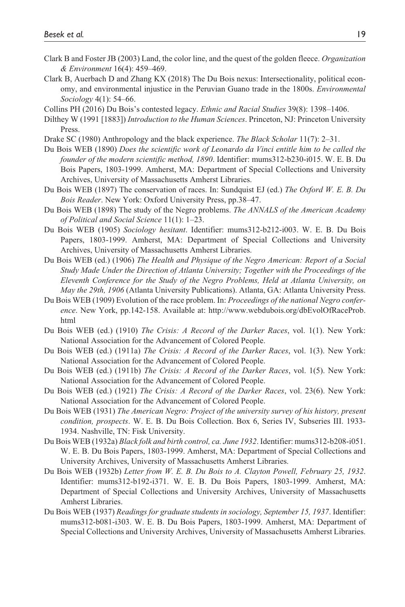- Clark B and Foster JB (2003) Land, the color line, and the quest of the golden fleece. *Organization & Environment* 16(4): 459–469.
- Clark B, Auerbach D and Zhang KX (2018) The Du Bois nexus: Intersectionality, political economy, and environmental injustice in the Peruvian Guano trade in the 1800s. *Environmental Sociology* 4(1): 54–66.
- Collins PH (2016) Du Bois's contested legacy. *Ethnic and Racial Studies* 39(8): 1398–1406.
- Dilthey W (1991 [1883]) *Introduction to the Human Sciences*. Princeton, NJ: Princeton University Press.
- Drake SC (1980) Anthropology and the black experience. *The Black Scholar* 11(7): 2–31.
- Du Bois WEB (1890) *Does the scientific work of Leonardo da Vinci entitle him to be called the founder of the modern scientific method, 1890*. Identifier: mums312-b230-i015. W. E. B. Du Bois Papers, 1803-1999. Amherst, MA: Department of Special Collections and University Archives, University of Massachusetts Amherst Libraries.
- Du Bois WEB (1897) The conservation of races. In: Sundquist EJ (ed.) *The Oxford W. E. B. Du Bois Reader*. New York: Oxford University Press, pp.38–47.
- Du Bois WEB (1898) The study of the Negro problems. *The ANNALS of the American Academy of Political and Social Science* 11(1): 1–23.
- Du Bois WEB (1905) *Sociology hesitant*. Identifier: mums312-b212-i003. W. E. B. Du Bois Papers, 1803-1999. Amherst, MA: Department of Special Collections and University Archives, University of Massachusetts Amherst Libraries.
- Du Bois WEB (ed.) (1906) *The Health and Physique of the Negro American: Report of a Social Study Made Under the Direction of Atlanta University; Together with the Proceedings of the Eleventh Conference for the Study of the Negro Problems, Held at Atlanta University, on May the 29th, 1906* (Atlanta University Publications). Atlanta, GA: Atlanta University Press.
- Du Bois WEB (1909) Evolution of the race problem. In: *Proceedings of the national Negro conference*. New York, pp.142-158. Available at: [http://www.webdubois.org/dbEvolOfRaceProb.](http://www.webdubois.org/dbEvolOfRaceProb.html) [html](http://www.webdubois.org/dbEvolOfRaceProb.html)
- Du Bois WEB (ed.) (1910) *The Crisis: A Record of the Darker Races*, vol. 1(1). New York: National Association for the Advancement of Colored People.
- Du Bois WEB (ed.) (1911a) *The Crisis: A Record of the Darker Races*, vol. 1(3). New York: National Association for the Advancement of Colored People.
- Du Bois WEB (ed.) (1911b) *The Crisis: A Record of the Darker Races*, vol. 1(5). New York: National Association for the Advancement of Colored People.
- Du Bois WEB (ed.) (1921) *The Crisis: A Record of the Darker Races*, vol. 23(6). New York: National Association for the Advancement of Colored People.
- Du Bois WEB (1931) *The American Negro: Project of the university survey of his history, present condition, prospects*. W. E. B. Du Bois Collection. Box 6, Series IV, Subseries III. 1933- 1934. Nashville, TN: Fisk University.
- Du Bois WEB (1932a) *Black folk and birth control, ca. June 1932*. Identifier: mums312-b208-i051. W. E. B. Du Bois Papers, 1803-1999. Amherst, MA: Department of Special Collections and University Archives, University of Massachusetts Amherst Libraries.
- Du Bois WEB (1932b) *Letter from W. E. B. Du Bois to A. Clayton Powell, February 25, 1932*. Identifier: mums312-b192-i371. W. E. B. Du Bois Papers, 1803-1999. Amherst, MA: Department of Special Collections and University Archives, University of Massachusetts Amherst Libraries.
- Du Bois WEB (1937) *Readings for graduate students in sociology, September 15, 1937*. Identifier: mums312-b081-i303. W. E. B. Du Bois Papers, 1803-1999. Amherst, MA: Department of Special Collections and University Archives, University of Massachusetts Amherst Libraries.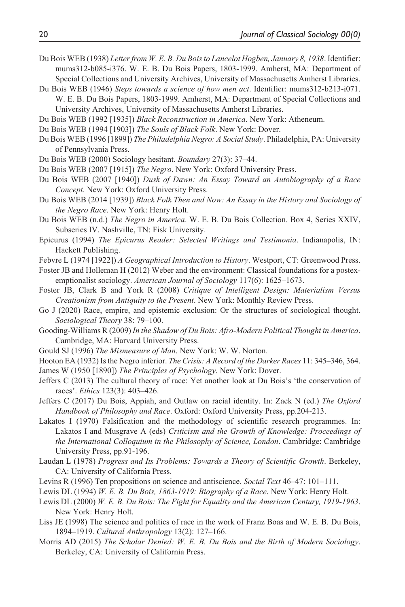- Du Bois WEB (1938) *Letter from W. E. B. Du Bois to Lancelot Hogben, January 8, 1938*. Identifier: mums312-b085-i376. W. E. B. Du Bois Papers, 1803-1999. Amherst, MA: Department of Special Collections and University Archives, University of Massachusetts Amherst Libraries.
- Du Bois WEB (1946) *Steps towards a science of how men act*. Identifier: mums312-b213-i071. W. E. B. Du Bois Papers, 1803-1999. Amherst, MA: Department of Special Collections and University Archives, University of Massachusetts Amherst Libraries.
- Du Bois WEB (1992 [1935]) *Black Reconstruction in America*. New York: Atheneum.
- Du Bois WEB (1994 [1903]) *The Souls of Black Folk*. New York: Dover.
- Du Bois WEB (1996 [1899]) *The Philadelphia Negro: A Social Study*. Philadelphia, PA: University of Pennsylvania Press.
- Du Bois WEB (2000) Sociology hesitant. *Boundary* 27(3): 37–44.
- Du Bois WEB (2007 [1915]) *The Negro*. New York: Oxford University Press.
- Du Bois WEB (2007 [1940]) *Dusk of Dawn: An Essay Toward an Autobiography of a Race Concept*. New York: Oxford University Press.
- Du Bois WEB (2014 [1939]) *Black Folk Then and Now: An Essay in the History and Sociology of the Negro Race*. New York: Henry Holt.
- Du Bois WEB (n.d.) *The Negro in America*. W. E. B. Du Bois Collection. Box 4, Series XXIV, Subseries IV. Nashville, TN: Fisk University.
- Epicurus (1994) *The Epicurus Reader: Selected Writings and Testimonia*. Indianapolis, IN: Hackett Publishing.
- Febvre L (1974 [1922]) *A Geographical Introduction to History*. Westport, CT: Greenwood Press.
- Foster JB and Holleman H (2012) Weber and the environment: Classical foundations for a postexemptionalist sociology. *American Journal of Sociology* 117(6): 1625–1673.
- Foster JB, Clark B and York R (2008) *Critique of Intelligent Design: Materialism Versus Creationism from Antiquity to the Present*. New York: Monthly Review Press.
- Go J (2020) Race, empire, and epistemic exclusion: Or the structures of sociological thought. *Sociological Theory* 38: 79–100.
- Gooding-Williams R (2009) *In the Shadow of Du Bois: Afro-Modern Political Thought in America*. Cambridge, MA: Harvard University Press.
- Gould SJ (1996) *The Mismeasure of Man*. New York: W. W. Norton.
- Hooton EA (1932) Is the Negro inferior. *The Crisis: A Record of the Darker Races* 11: 345–346, 364.
- James W (1950 [1890]) *The Principles of Psychology*. New York: Dover.
- Jeffers C (2013) The cultural theory of race: Yet another look at Du Bois's 'the conservation of races'. *Ethics* 123(3): 403–426.
- Jeffers C (2017) Du Bois, Appiah, and Outlaw on racial identity. In: Zack N (ed.) *The Oxford Handbook of Philosophy and Race*. Oxford: Oxford University Press, pp.204-213.
- Lakatos I (1970) Falsification and the methodology of scientific research programmes. In: Lakatos I and Musgrave A (eds) *Criticism and the Growth of Knowledge: Proceedings of the International Colloquium in the Philosophy of Science, London*. Cambridge: Cambridge University Press, pp.91-196.
- Laudan L (1978) *Progress and Its Problems: Towards a Theory of Scientific Growth*. Berkeley, CA: University of California Press.
- Levins R (1996) Ten propositions on science and antiscience. *Social Text* 46–47: 101–111.
- Lewis DL (1994) *W. E. B. Du Bois, 1863-1919: Biography of a Race*. New York: Henry Holt.
- Lewis DL (2000) *W. E. B. Du Bois: The Fight for Equality and the American Century, 1919-1963*. New York: Henry Holt.
- Liss JE (1998) The science and politics of race in the work of Franz Boas and W. E. B. Du Bois, 1894–1919. *Cultural Anthropology* 13(2): 127–166.
- Morris AD (2015) *The Scholar Denied: W. E. B. Du Bois and the Birth of Modern Sociology*. Berkeley, CA: University of California Press.